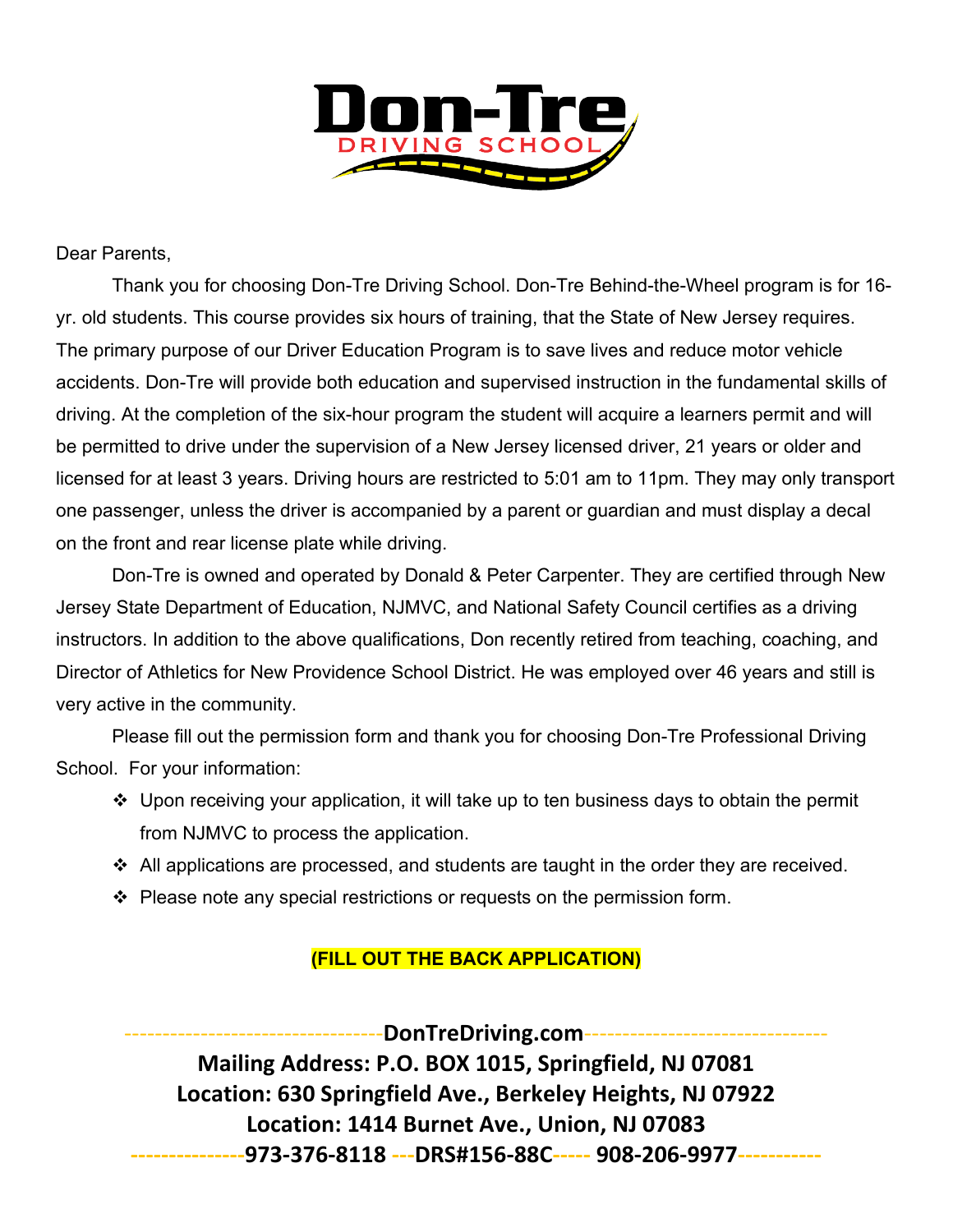

## Dear Parents,

Thank you for choosing Don-Tre Driving School. Don-Tre Behind-the-Wheel program is for 16 yr. old students. This course provides six hours of training, that the State of New Jersey requires. The primary purpose of our Driver Education Program is to save lives and reduce motor vehicle accidents. Don-Tre will provide both education and supervised instruction in the fundamental skills of driving. At the completion of the six-hour program the student will acquire a learners permit and will be permitted to drive under the supervision of a New Jersey licensed driver, 21 years or older and licensed for at least 3 years. Driving hours are restricted to 5:01 am to 11pm. They may only transport one passenger, unless the driver is accompanied by a parent or guardian and must display a decal on the front and rear license plate while driving.

Don-Tre is owned and operated by Donald & Peter Carpenter. They are certified through New Jersey State Department of Education, NJMVC, and National Safety Council certifies as a driving instructors. In addition to the above qualifications, Don recently retired from teaching, coaching, and Director of Athletics for New Providence School District. He was employed over 46 years and still is very active in the community.

Please fill out the permission form and thank you for choosing Don-Tre Professional Driving School. For your information:

- Upon receiving your application, it will take up to ten business days to obtain the permit from NJMVC to process the application.
- $\div$  All applications are processed, and students are taught in the order they are received.
- ❖ Please note any special restrictions or requests on the permission form.

## **(FILL OUT THE BACK APPLICATION)**

----------------------------------**DonTreDriving.com**-------------------------------- **Mailing Address: P.O. BOX 1015, Springfield, NJ 07081 Location: 630 Springfield Ave., Berkeley Heights, NJ 07922 Location: 1414 Burnet Ave., Union, NJ 07083 ---------------973-376-8118 ---DRS#156-88C----- 908-206-9977-----------**